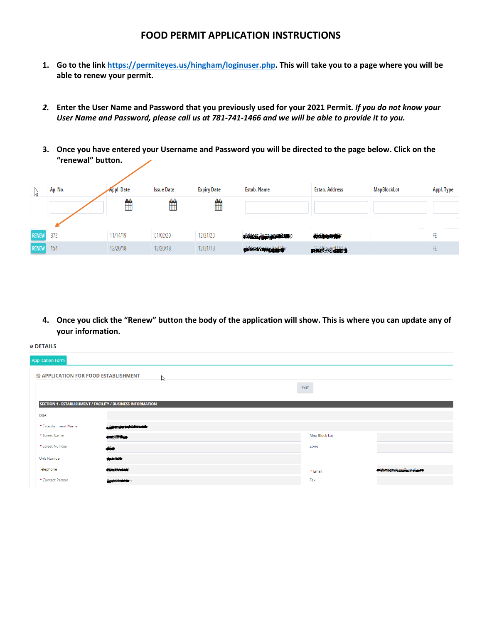## **FOOD PERMIT APPLICATION INSTRUCTIONS**

- **1. Go to the lin[k https://permiteyes.us/hingham/loginuser.php.](https://permiteyes.us/hingham/loginuser.php) This will take you to a page where you will be able to renew your permit.**
- *2.* **Enter the User Name and Password that you previously used for your 2021 Permit.** *If you do not know your User Name and Password, please call us at 781-741-1466 and we will be able to provide it to you.*
- **3. Once you have entered your Username and Password you will be directed to the page below. Click on the "renewal" button.**

| M            | Ap. No. | <b>Appl. Date</b> | <b>Issue Date</b> | <b>Expiry Date</b> | Estab. Name            | <b>Estab. Address</b>   | <b>MapBlockLot</b> | Appl. Type |
|--------------|---------|-------------------|-------------------|--------------------|------------------------|-------------------------|--------------------|------------|
|              |         | Ë                 | ₩                 | ∰                  |                        |                         |                    |            |
| <b>RENEW</b> | 372     | 11/14/19          | 01/02/20          | 12/31/20           | STARBER BERMSSMANA SOP | <b>Chickensweise</b>    |                    | FE         |
| <b>RENEW</b> | 154     | 12/20/18          | 12/20/18          | 12/31/18           | assere Color And Bar   | <b>Alakipverd Drive</b> |                    | FE         |

**4. Once you click the "Renew" button the body of the application will show. This is where you can update any of your information.**

| <b>O DETAILS</b>                                            |                                       |               |                                     |
|-------------------------------------------------------------|---------------------------------------|---------------|-------------------------------------|
| <b>Application Form</b>                                     |                                       |               |                                     |
| <b>@ APPLICATION FOR FOOD ESTABLISHMENT</b>                 | Ps.                                   |               |                                     |
|                                                             |                                       | <b>EXIT</b>   |                                     |
| SECTION 1 - ESTABLISHMENT / FACILITY / BUSINESS INFORMATION |                                       |               |                                     |
| <b>DBA</b>                                                  |                                       |               |                                     |
| * Establishment Name                                        | <b>A construction of the American</b> |               |                                     |
| * Street Name                                               | state julions                         | Map Block Lot |                                     |
| * Street Number                                             | $\frac{1}{2}$                         | Zone          |                                     |
| Unit Number                                                 | <b>GARDENS</b>                        |               |                                     |
| Telephone                                                   | <b>RACK MARINE</b>                    | * Email       | design and the product of the state |
| * Contact Person                                            | Reintereinterein                      | Fax           |                                     |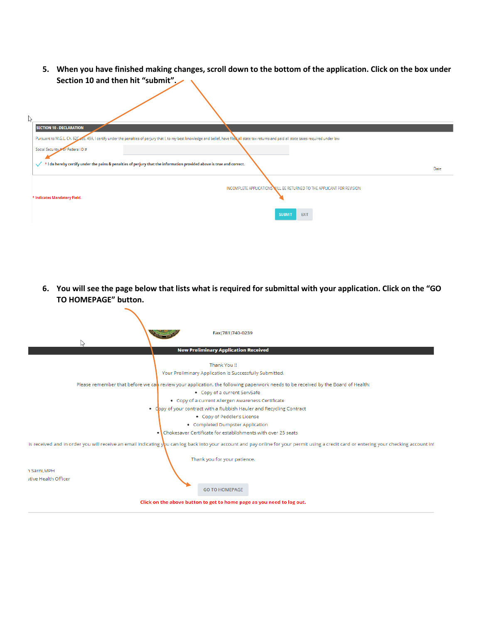**5. When you have finished making changes, scroll down to the bottom of the application. Click on the box under Section 10 and then hit "submit".** 

| ド |                                                                                                                                                                                                   |
|---|---------------------------------------------------------------------------------------------------------------------------------------------------------------------------------------------------|
|   | <b>SECTION 10 - DECLARATION</b>                                                                                                                                                                   |
|   | Pursuant to M.G.L. Ch. 62Cocc. 49A, I certify under the penalties of perjury that I, to my best knowledge and belief, have file all state tax returns and paid all state taxes required under law |
|   | Social Security #or Federal ID #                                                                                                                                                                  |
|   | * I do hereby certify under the pains & penalties of perjury that the information provided above is true and correct.                                                                             |
|   | Date                                                                                                                                                                                              |
|   |                                                                                                                                                                                                   |
|   | INCOMPLETE APPLICATIONS WILL BE RETURNED TO THE APPLICANT FOR REVISION                                                                                                                            |
|   | * Indicates Mandatory Field.                                                                                                                                                                      |
|   | <b>EXIT</b><br><b>SUBMIT</b>                                                                                                                                                                      |

**6. You will see the page below that lists what is required for submittal with your application. Click on the "GO TO HOMEPAGE" button.**

 $\sim$ 

| Fax(781)740-0239<br>ピ<br><b>New Preliminary Application Received</b>                                                                                                                                                      |
|---------------------------------------------------------------------------------------------------------------------------------------------------------------------------------------------------------------------------|
|                                                                                                                                                                                                                           |
| Thank You !!                                                                                                                                                                                                              |
| Your Preliminary Application is Successfully Submitted.                                                                                                                                                                   |
| Please remember that before we can review your application, the following paperwork needs to be received by the Board of Health:                                                                                          |
| • Copy of a current ServSafe                                                                                                                                                                                              |
| • Copy of a current Allergen Awareness Certificate                                                                                                                                                                        |
| • Copy of your contract with a Rubbish Hauler and Recycling Contract                                                                                                                                                      |
| • Copy of Peddler's License                                                                                                                                                                                               |
| • Completed Dumpster Application                                                                                                                                                                                          |
| • Chokesaver Certificate for establishments with over 25 seats                                                                                                                                                            |
| is received and in order you will receive an email indicating you can log back into your account and pay online for your permit using a credit card or entering your checking account inf<br>Thank you for your patience. |
| 1 Sarni.MPH                                                                                                                                                                                                               |
| itive Health Officer                                                                                                                                                                                                      |
| <b>GO TO HOMEPAGE</b>                                                                                                                                                                                                     |
| Click on the above button to get to home page as you need to log out.                                                                                                                                                     |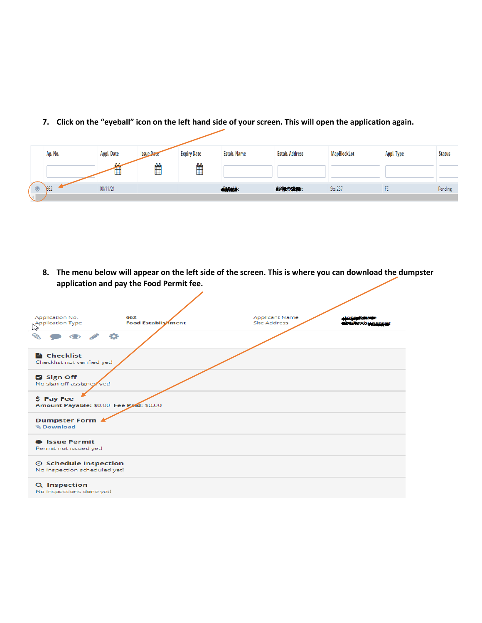|                | Ap. No. | <b>Appl. Date</b> | <b>Issue Date</b> | <b>Expiry Date</b> | Estab. Name     | <b>Estab. Address</b>    | MapBlockLot    | Appl. Type | <b>Status</b> |
|----------------|---------|-------------------|-------------------|--------------------|-----------------|--------------------------|----------------|------------|---------------|
|                |         | $\mathbf{a}$<br>⊞ | $\mathbf{A}$<br>Ë | ₩                  |                 |                          |                |            |               |
| $\circledcirc$ | 662     | 08/11/21          |                   |                    | <b>Algorith</b> | <b>Oddiering firme</b> t | <b>Ste 237</b> |            | Pending       |
|                |         |                   |                   |                    |                 |                          |                |            |               |

**7. Click on the "eyeball" icon on the left hand side of your screen. This will open the application again.**

**8. The menu below will appear on the left side of the screen. This is where you can download the dumpster application and pay the Food Permit fee.**